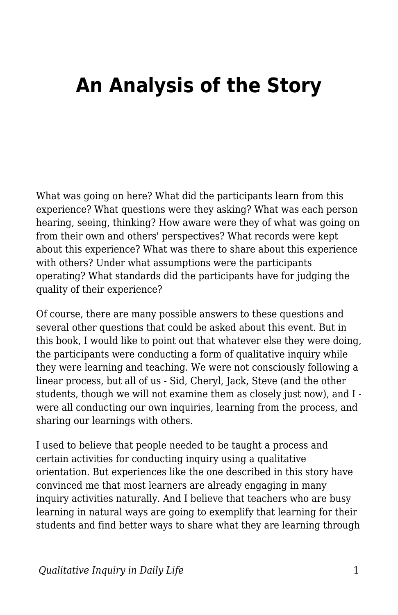## **An Analysis of the Story**

What was going on here? What did the participants learn from this experience? What questions were they asking? What was each person hearing, seeing, thinking? How aware were they of what was going on from their own and others' perspectives? What records were kept about this experience? What was there to share about this experience with others? Under what assumptions were the participants operating? What standards did the participants have for judging the quality of their experience?

Of course, there are many possible answers to these questions and several other questions that could be asked about this event. But in this book, I would like to point out that whatever else they were doing, the participants were conducting a form of qualitative inquiry while they were learning and teaching. We were not consciously following a linear process, but all of us - Sid, Cheryl, Jack, Steve (and the other students, though we will not examine them as closely just now), and I were all conducting our own inquiries, learning from the process, and sharing our learnings with others.

I used to believe that people needed to be taught a process and certain activities for conducting inquiry using a qualitative orientation. But experiences like the one described in this story have convinced me that most learners are already engaging in many inquiry activities naturally. And I believe that teachers who are busy learning in natural ways are going to exemplify that learning for their students and find better ways to share what they are learning through